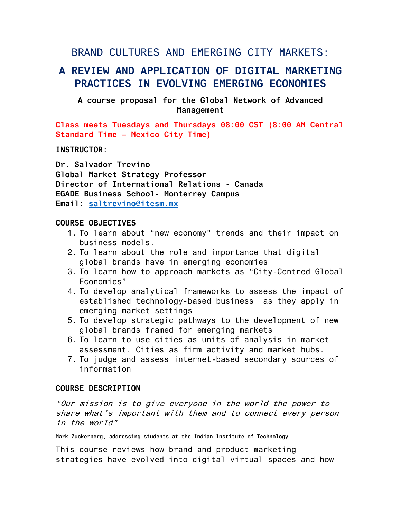## BRAND CULTURES AND EMERGING CITY MARKETS:

# **A REVIEW AND APPLICATION OF DIGITAL MARKETING PRACTICES IN EVOLVING EMERGING ECONOMIES**

**A course proposal for the Global Network of Advanced Management**

**Class meets Tuesdays and Thursdays 08:00 CST (8:00 AM Central Standard Time – Mexico City Time)** 

**INSTRUCTOR:**

**Dr. Salvador Trevino Global Market Strategy Professor Director of International Relations - Canada EGADE Business School- Monterrey Campus Email: [saltrevino@itesm.mx](mailto:saltrevino@itesm.mx)**

### **COURSE OBJECTIVES**

- 1. To learn about "new economy" trends and their impact on business models.
- 2. To learn about the role and importance that digital global brands have in emerging economies
- 3. To learn how to approach markets as "City-Centred Global Economies"
- 4. To develop analytical frameworks to assess the impact of established technology-based business as they apply in emerging market settings
- 5. To develop strategic pathways to the development of new global brands framed for emerging markets
- 6. To learn to use cities as units of analysis in market assessment. Cities as firm activity and market hubs.
- 7. To judge and assess internet-based secondary sources of information

### **COURSE DESCRIPTION**

"Our mission is to give everyone in the world the power to share what's important with them and to connect every person in the world"

**Mark Zuckerberg, addressing students at the Indian Institute of Technology**

This course reviews how brand and product marketing strategies have evolved into digital virtual spaces and how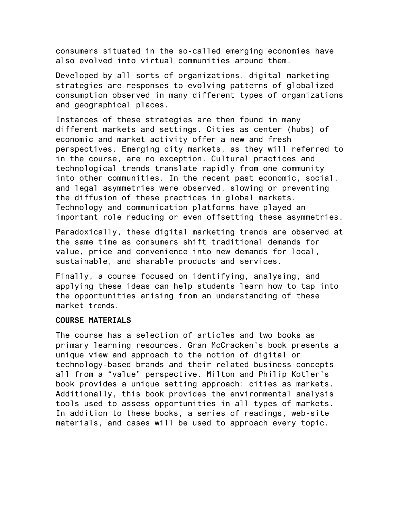consumers situated in the so-called emerging economies have also evolved into virtual communities around them.

Developed by all sorts of organizations, digital marketing strategies are responses to evolving patterns of globalized consumption observed in many different types of organizations and geographical places.

Instances of these strategies are then found in many different markets and settings. Cities as center (hubs) of economic and market activity offer a new and fresh perspectives. Emerging city markets, as they will referred to in the course, are no exception. Cultural practices and technological trends translate rapidly from one community into other communities. In the recent past economic, social, and legal asymmetries were observed, slowing or preventing the diffusion of these practices in global markets. Technology and communication platforms have played an important role reducing or even offsetting these asymmetries.

Paradoxically, these digital marketing trends are observed at the same time as consumers shift traditional demands for value, price and convenience into new demands for local, sustainable, and sharable products and services.

Finally, a course focused on identifying, analysing, and applying these ideas can help students learn how to tap into the opportunities arising from an understanding of these market trends.

### **COURSE MATERIALS**

The course has a selection of articles and two books as primary learning resources. Gran McCracken's book presents a unique view and approach to the notion of digital or technology-based brands and their related business concepts all from a "value" perspective. Milton and Philip Kotler's book provides a unique setting approach: cities as markets. Additionally, this book provides the environmental analysis tools used to assess opportunities in all types of markets. In addition to these books, a series of readings, web-site materials, and cases will be used to approach every topic.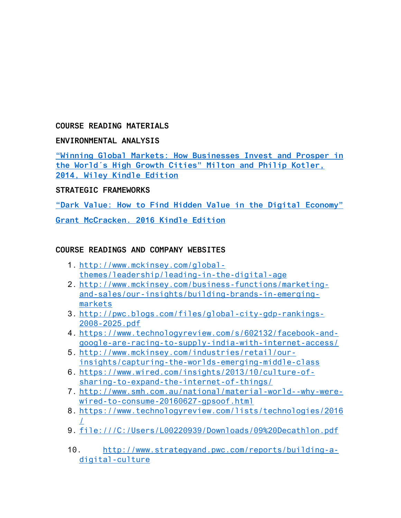## **COURSE READING MATERIALS**

### **ENVIRONMENTAL ANALYSIS**

**"Win[ning Global Markets: How Businesses](https://www.amazon.ca/Winning-Global-Markets-Businesses-High-Growth-ebook/dp/B00JUV00FA/ref=sr_1_7?s=books&ie=UTF8&qid=1474405201&sr=1-7&keywords=digital+markets+emerging+economy) Invest and Prosper in t[he World´s High Growth Cities" Milton and Philip Kotler,](https://www.amazon.ca/Winning-Global-Markets-Businesses-High-Growth-ebook/dp/B00JUV00FA/ref=sr_1_7?s=books&ie=UTF8&qid=1474405201&sr=1-7&keywords=digital+markets+emerging+economy)  [2014, Wiley Kindle Edition](https://www.amazon.ca/Winning-Global-Markets-Businesses-High-Growth-ebook/dp/B00JUV00FA/ref=sr_1_7?s=books&ie=UTF8&qid=1474405201&sr=1-7&keywords=digital+markets+emerging+economy)**

## **STRATEGIC FRAMEWORKS**

**["Dark Value: How to Find Hidden Value in the Digital Economy"](https://www.amazon.ca/Dark-Value-hidden-digital-economy-ebook/dp/B01F6BBIVW/ref=sr_1_6?ie=UTF8&qid=1474403557&sr=8-6&keywords=grant+mccracken)** 

**[Grant McCracken. 2016 Kindle Edition](https://www.amazon.ca/Dark-Value-hidden-digital-economy-ebook/dp/B01F6BBIVW/ref=sr_1_6?ie=UTF8&qid=1474403557&sr=8-6&keywords=grant+mccracken)**

### **COURSE READINGS AND COMPANY WEBSITES**

- 1. [http://www.mckinsey.com/global](http://www.mckinsey.com/global-themes/leadership/leading-in-the-digital-age)[themes/leadership/leading-in-the-digital-age](http://www.mckinsey.com/global-themes/leadership/leading-in-the-digital-age)
- 2. [http://www.mckinsey.com/business-functions/marketing](http://www.mckinsey.com/business-functions/marketing-and-sales/our-insights/building-brands-in-emerging-markets)[and-sales/our-insights/building-brands-in-emerging](http://www.mckinsey.com/business-functions/marketing-and-sales/our-insights/building-brands-in-emerging-markets)[markets](http://www.mckinsey.com/business-functions/marketing-and-sales/our-insights/building-brands-in-emerging-markets)
- 3. [http://pwc.blogs.com/files/global-city-gdp-rankings-](http://pwc.blogs.com/files/global-city-gdp-rankings-2008-2025.pdf)[2008-2025.pdf](http://pwc.blogs.com/files/global-city-gdp-rankings-2008-2025.pdf)
- 4. [https://www.technologyreview.com/s/602132/facebook-and](https://www.technologyreview.com/s/602132/facebook-and-google-are-racing-to-supply-india-with-internet-access/)[google-are-racing-to-supply-india-with-internet-access/](https://www.technologyreview.com/s/602132/facebook-and-google-are-racing-to-supply-india-with-internet-access/)
- 5. [http://www.mckinsey.com/industries/retail/our](http://www.mckinsey.com/industries/retail/our-insights/capturing-the-worlds-emerging-middle-class)[insights/capturing-the-worlds-emerging-middle-class](http://www.mckinsey.com/industries/retail/our-insights/capturing-the-worlds-emerging-middle-class)
- 6. [https://www.wired.com/insights/2013/10/culture-of](https://www.wired.com/insights/2013/10/culture-of-sharing-to-expand-the-internet-of-things/)[sharing-to-expand-the-internet-of-things/](https://www.wired.com/insights/2013/10/culture-of-sharing-to-expand-the-internet-of-things/)
- 7. [http://www.smh.com.au/national/material-world--why-were](http://www.smh.com.au/national/material-world--why-were-wired-to-consume-20160627-gpsoof.html)[wired-to-consume-20160627-gpsoof.html](http://www.smh.com.au/national/material-world--why-were-wired-to-consume-20160627-gpsoof.html)
- 8. [https://www.technologyreview.com/lists/technologies/2016](https://www.technologyreview.com/lists/technologies/2016/) [/](https://www.technologyreview.com/lists/technologies/2016/)
- 9. <file:///C:/Users/L00220939/Downloads/09%20Decathlon.pdf>
- 10. [http://www.strategyand.pwc.com/reports/building-a](http://www.strategyand.pwc.com/reports/building-a-digital-culture)[digital-culture](http://www.strategyand.pwc.com/reports/building-a-digital-culture)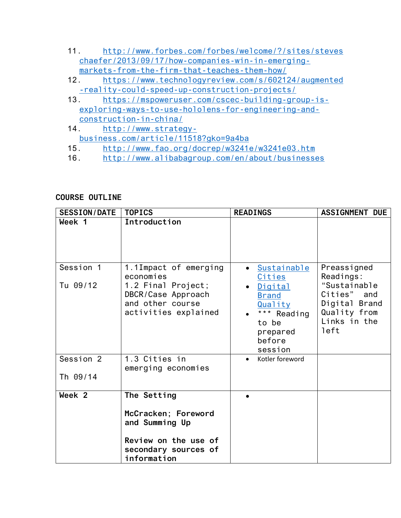- 11. [http://www.forbes.com/forbes/welcome/?/sites/steves](http://www.forbes.com/forbes/welcome/?/sites/steveschaefer/2013/09/17/how-companies-win-in-emerging-markets-from-the-firm-that-teaches-them-how/) [chaefer/2013/09/17/how-companies-win-in-emerging](http://www.forbes.com/forbes/welcome/?/sites/steveschaefer/2013/09/17/how-companies-win-in-emerging-markets-from-the-firm-that-teaches-them-how/)[markets-from-the-firm-that-teaches-them-how/](http://www.forbes.com/forbes/welcome/?/sites/steveschaefer/2013/09/17/how-companies-win-in-emerging-markets-from-the-firm-that-teaches-them-how/)
- 12. [https://www.technologyreview.com/s/602124/augmented](https://www.technologyreview.com/s/602124/augmented-reality-could-speed-up-construction-projects/) [-reality-could-speed-up-construction-projects/](https://www.technologyreview.com/s/602124/augmented-reality-could-speed-up-construction-projects/)
- 13. [https://mspoweruser.com/cscec-building-group-is](https://mspoweruser.com/cscec-building-group-is-exploring-ways-to-use-hololens-for-engineering-and-construction-in-china/)[exploring-ways-to-use-hololens-for-engineering-and](https://mspoweruser.com/cscec-building-group-is-exploring-ways-to-use-hololens-for-engineering-and-construction-in-china/)[construction-in-china/](https://mspoweruser.com/cscec-building-group-is-exploring-ways-to-use-hololens-for-engineering-and-construction-in-china/)
- 14. [http://www.strategy](http://www.strategy-business.com/article/11518?gko=9a4ba)[business.com/article/11518?gko=9a4ba](http://www.strategy-business.com/article/11518?gko=9a4ba)
- 15. <http://www.fao.org/docrep/w3241e/w3241e03.htm>
- 16. <http://www.alibabagroup.com/en/about/businesses>

## **COURSE OUTLINE**

| SESSION/DATE          | <b>TOPICS</b>                                                                                                              | <b>READINGS</b>                                                                                                               | <b>ASSIGNMENT DUE</b>                                                                                            |  |  |
|-----------------------|----------------------------------------------------------------------------------------------------------------------------|-------------------------------------------------------------------------------------------------------------------------------|------------------------------------------------------------------------------------------------------------------|--|--|
| Week 1                | Introduction                                                                                                               |                                                                                                                               |                                                                                                                  |  |  |
| Session 1<br>Tu 09/12 | 1.1Impact of emerging<br>economies<br>1.2 Final Project;<br>DBCR/Case Approach<br>and other course<br>activities explained | • Sustainable<br>Cities<br><b>Digital</b><br><b>Brand</b><br>Quality<br>*** Reading<br>to be<br>prepared<br>before<br>session | Preassigned<br>Readings:<br>"Sustainable<br>Cities" and<br>Digital Brand<br>Quality from<br>Links in the<br>left |  |  |
| Session 2<br>Th 09/14 | 1.3 Cities in<br>emerging economies                                                                                        | Kotler foreword<br>$\bullet$                                                                                                  |                                                                                                                  |  |  |
| Week <sub>2</sub>     | The Setting<br>McCracken; Foreword<br>and Summing Up<br>Review on the use of<br>secondary sources of<br>information        |                                                                                                                               |                                                                                                                  |  |  |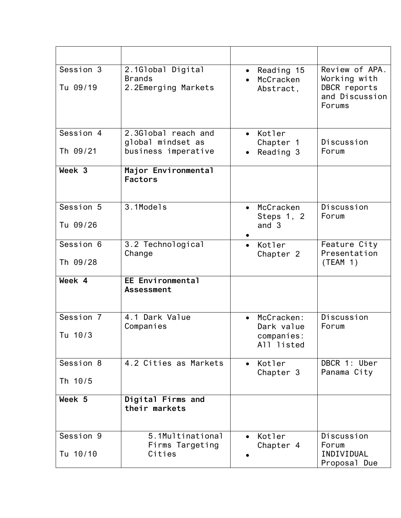| Session 3<br>Tu 09/19 | 2.1Global Digital<br><b>Brands</b><br>2.2Emerging Markets       | Reading 15<br>$\bullet$<br>McCracken<br>Abstract,                 | Review of APA.<br>Working with<br>DBCR reports<br>and Discussion<br>Forums |
|-----------------------|-----------------------------------------------------------------|-------------------------------------------------------------------|----------------------------------------------------------------------------|
| Session 4<br>Th 09/21 | 2.3Global reach and<br>global mindset as<br>business imperative | Kotler<br>$\bullet$<br>Chapter 1<br>Reading 3                     | Discussion<br>Forum                                                        |
|                       |                                                                 |                                                                   |                                                                            |
| Week 3                | Major Environmental<br><b>Factors</b>                           |                                                                   |                                                                            |
| Session 5<br>Tu 09/26 | 3.1Models                                                       | McCracken<br>$\bullet$<br>Steps 1, 2<br>and $3$                   | Discussion<br>Forum                                                        |
| Session 6<br>Th 09/28 | 3.2 Technological<br>Change                                     | Kotler<br>$\bullet$<br>Chapter 2                                  | Feature City<br>Presentation<br>(TEAM 1)                                   |
| Week 4                | EE Environmental<br><b>Assessment</b>                           |                                                                   |                                                                            |
| Session 7<br>Tu 10/3  | 4.1 Dark Value<br>Companies                                     | McCracken:<br>$\bullet$<br>Dark value<br>companies:<br>All listed | Discussion<br>Forum                                                        |
| Session 8<br>Th 10/5  | 4.2 Cities as Markets                                           | Kotler<br>Chapter 3                                               | DBCR 1: Uber<br>Panama City                                                |
| Week 5                | Digital Firms and<br>their markets                              |                                                                   |                                                                            |
| Session 9<br>Tu 10/10 | 5.1Multinational<br>Firms Targeting<br>Cities                   | Kotler<br>$\bullet$<br>Chapter 4                                  | Discussion<br>Forum<br>INDIVIDUAL<br>Proposal Due                          |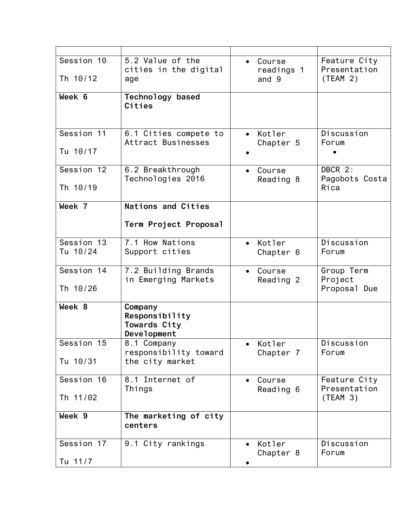| Session 10<br>Th 10/12 | 5.2 Value of the<br>cities in the digital<br>age         | Course<br>$\bullet$<br>readings 1<br>and 9 | Feature City<br>Presentation<br>(TEAM 2) |
|------------------------|----------------------------------------------------------|--------------------------------------------|------------------------------------------|
| Week 6                 | Technology based<br>Cities                               |                                            |                                          |
| Session 11<br>Tu 10/17 | 6.1 Cities compete to<br>Attract Businesses              | Kotler<br>$\bullet$<br>Chapter 5           | Discussion<br>Forum                      |
| Session 12<br>Th 10/19 | 6.2 Breakthrough<br>Technologies 2016                    | Course<br>$\bullet$<br>Reading 8           | DBCR 2:<br>Pagobots Costa<br>Rica        |
| Week 7                 | Nations and Cities<br>Term Project Proposal              |                                            |                                          |
| Session 13<br>Tu 10/24 | 7.1 How Nations<br>Support cities                        | Kotler<br>$\bullet$<br>Chapter 6           | Discussion<br>Forum                      |
| Session 14<br>Th 10/26 | 7.2 Building Brands<br>in Emerging Markets               | Course<br>$\bullet$<br>Reading 2           | Group Term<br>Project<br>Proposal Due    |
| Week 8                 | Company<br>Responsibility<br>Towards City<br>Development |                                            |                                          |
| Session 15<br>Tu 10/31 | 8.1 Company<br>responsibility toward<br>the city market  | Kotler<br>Chapter 7                        | Discussion<br>Forum                      |
| Session 16<br>Th 11/02 | 8.1 Internet of<br>Things                                | Course<br>Reading 6                        | Feature City<br>Presentation<br>(TEAM 3) |
| Week 9                 | The marketing of city<br>centers                         |                                            |                                          |
| Session 17<br>Tu 11/7  | 9.1 City rankings                                        | Kotler<br>$\bullet$<br>Chapter 8           | Discussion<br>Forum                      |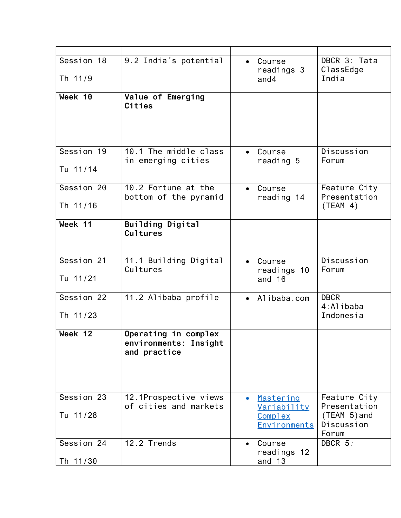| Session 18<br>Th 11/9  | 9.2 India's potential                                         | Course<br>$\bullet$<br>readings 3<br>and 4                              | DBCR 3: Tata<br>ClassEdge<br>India                                    |
|------------------------|---------------------------------------------------------------|-------------------------------------------------------------------------|-----------------------------------------------------------------------|
| Week 10                | Value of Emerging<br>Cities                                   |                                                                         |                                                                       |
| Session 19<br>Tu 11/14 | 10.1 The middle class<br>in emerging cities                   | Course<br>reading 5                                                     | Discussion<br>Forum                                                   |
| Session 20<br>Th 11/16 | 10.2 Fortune at the<br>bottom of the pyramid                  | Course<br>$\bullet$<br>reading 14                                       | Feature City<br>Presentation<br>(TEAM 4)                              |
| Week 11                | Building Digital<br><b>Cultures</b>                           |                                                                         |                                                                       |
| Session 21<br>Tu 11/21 | 11.1 Building Digital<br>Cultures                             | Course<br>$\bullet$<br>readings 10<br>and $16$                          | Discussion<br>Forum                                                   |
| Session 22<br>Th 11/23 | 11.2 Alibaba profile                                          | • Alibaba.com                                                           | <b>DBCR</b><br>4:Alibaba<br>Indonesia                                 |
| Week 12                | Operating in complex<br>environments: Insight<br>and practice |                                                                         |                                                                       |
| Session 23<br>Tu 11/28 | 12.1Prospective views<br>of cities and markets                | Mastering<br>$\bullet$<br><u>Variability</u><br>Complex<br>Environments | Feature City<br>Presentation<br>$(TEAM 5)$ and<br>Discussion<br>Forum |
| Session 24<br>Th 11/30 | 12.2 Trends                                                   | Course<br>readings 12<br>and 13                                         | DBCR 5:                                                               |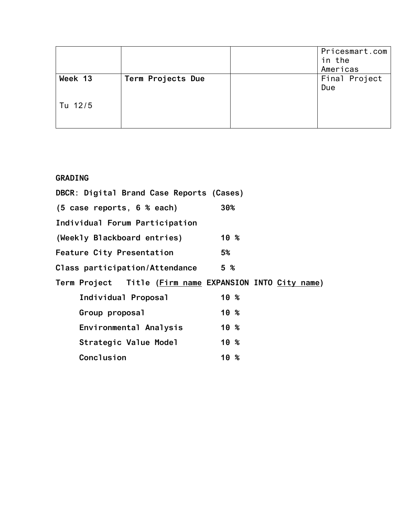|         |                   | Pricesmart.com<br>in the<br>Americas |
|---------|-------------------|--------------------------------------|
| Week 13 | Term Projects Due | Final Project<br>Due                 |
| Tu 12/5 |                   |                                      |

## **GRADING**

| DBCR: Digital Brand Case Reports (Cases)                |                 |
|---------------------------------------------------------|-----------------|
| $(5 \text{ case reports}, 6 \text{ % each})$            | 30%             |
| Individual Forum Participation                          |                 |
| (Weekly Blackboard entries)                             | 10 <sup>8</sup> |
| <b>Feature City Presentation</b>                        | 5%              |
| Class participation/Attendance                          | 5 <sup>°</sup>  |
| Term Project Title (Firm name EXPANSION INTO City name) |                 |
| Individual Proposal                                     | 10 %            |
| Group proposal                                          | $10 \tImes$     |
| Environmental Analysis                                  | 10 <sup>8</sup> |
| Strategic Value Model                                   | 10 <sup>8</sup> |
| Conclusion                                              | 10 <sup>8</sup> |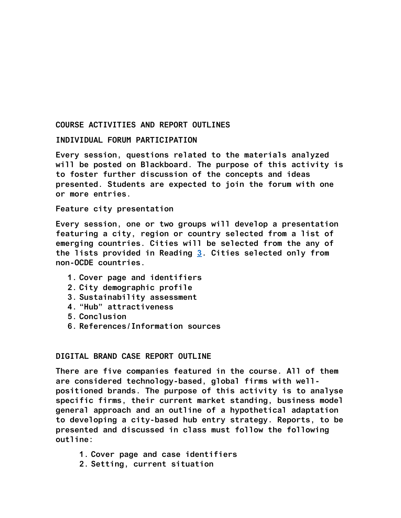#### **COURSE ACTIVITIES AND REPORT OUTLINES**

#### **INDIVIDUAL FORUM PARTICIPATION**

**Every session, questions related to the materials analyzed will be posted on Blackboard. The purpose of this activity is to foster further discussion of the concepts and ideas presented. Students are expected to join the forum with one or more entries.** 

#### **Feature city presentation**

**Every session, one or two groups will develop a presentation featuring a city, region or country selected from a list of emerging countries. Cities will be selected from the any of the lists provided in Reading [3.](http://pwc.blogs.com/files/global-city-gdp-rankings-2008-2025.pdf) Cities selected only from non-OCDE countries.** 

- **1. Cover page and identifiers**
- **2. City demographic profile**
- **3. Sustainability assessment**
- **4. "Hub" attractiveness**
- **5. Conclusion**
- **6. References/Information sources**

#### **DIGITAL BRAND CASE REPORT OUTLINE**

**There are five companies featured in the course. All of them are considered technology-based, global firms with wellpositioned brands. The purpose of this activity is to analyse specific firms, their current market standing, business model general approach and an outline of a hypothetical adaptation to developing a city-based hub entry strategy. Reports, to be presented and discussed in class must follow the following outline:**

- **1. Cover page and case identifiers**
- **2. Setting, current situation**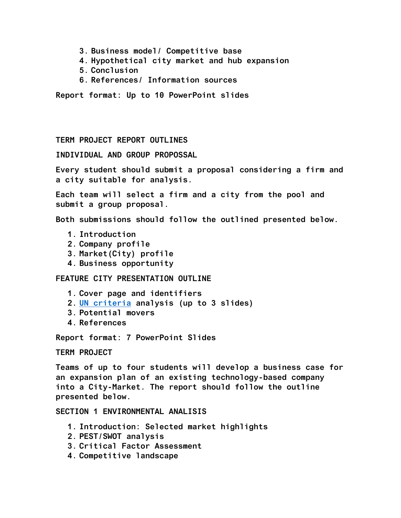- **3. Business model/ Competitive base**
- **4. Hypothetical city market and hub expansion**
- **5. Conclusion**
- **6. References/ Information sources**

**Report format: Up to 10 PowerPoint slides**

**TERM PROJECT REPORT OUTLINES**

**INDIVIDUAL AND GROUP PROPOSSAL**

**Every student should submit a proposal considering a firm and a city suitable for analysis.** 

**Each team will select a firm and a city from the pool and submit a group proposal.** 

**Both submissions should follow the outlined presented below.**

- **1. Introduction**
- **2. Company profile**
- **3. Market(City) profile**
- **4. Business opportunity**

**FEATURE CITY PRESENTATION OUTLINE**

- **1. Cover page and identifiers**
- **2. [UN criteria](http://wcr.unhabitat.org/main-report/) analysis (up to 3 slides)**
- **3. Potential movers**
- **4. References**

**Report format: 7 PowerPoint Slides**

**TERM PROJECT**

**Teams of up to four students will develop a business case for an expansion plan of an existing technology-based company into a City-Market. The report should follow the outline presented below.**

**SECTION 1 ENVIRONMENTAL ANALISIS**

- **1. Introduction: Selected market highlights**
- **2. PEST/SWOT analysis**
- **3. Critical Factor Assessment**
- **4. Competitive landscape**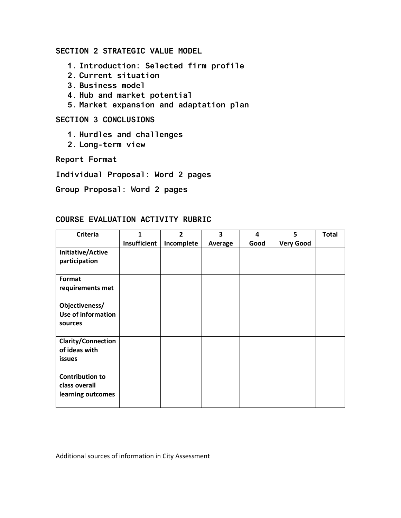### **SECTION 2 STRATEGIC VALUE MODEL**

- **1. Introduction: Selected firm profile**
- **2. Current situation**
- **3. Business model**
- **4. Hub and market potential**
- **5. Market expansion and adaptation plan**

## **SECTION 3 CONCLUSIONS**

- **1. Hurdles and challenges**
- **2. Long-term view**

**Report Format**

**Individual Proposal: Word 2 pages**

**Group Proposal: Word 2 pages**

### **COURSE EVALUATION ACTIVITY RUBRIC**

| <b>Criteria</b>                                              | 1            | $\overline{2}$ | 3       | 4    | 5                | <b>Total</b> |
|--------------------------------------------------------------|--------------|----------------|---------|------|------------------|--------------|
|                                                              | Insufficient | Incomplete     | Average | Good | <b>Very Good</b> |              |
| Initiative/Active<br>participation                           |              |                |         |      |                  |              |
| Format<br>requirements met                                   |              |                |         |      |                  |              |
| Objectiveness/<br>Use of information<br>sources              |              |                |         |      |                  |              |
| <b>Clarity/Connection</b><br>of ideas with<br>issues         |              |                |         |      |                  |              |
| <b>Contribution to</b><br>class overall<br>learning outcomes |              |                |         |      |                  |              |

Additional sources of information in City Assessment